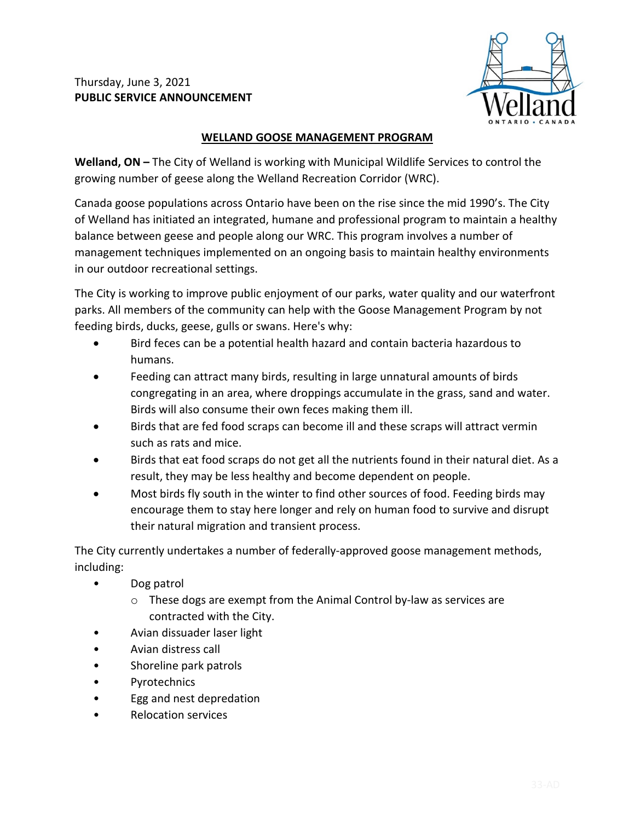

## **WELLAND GOOSE MANAGEMENT PROGRAM**

**Welland, ON –** The City of Welland is working with Municipal Wildlife Services to control the growing number of geese along the Welland Recreation Corridor (WRC).

Canada goose populations across Ontario have been on the rise since the mid 1990's. The City of Welland has initiated an integrated, humane and professional program to maintain a healthy balance between geese and people along our WRC. This program involves a number of management techniques implemented on an ongoing basis to maintain healthy environments in our outdoor recreational settings.

The City is working to improve public enjoyment of our parks, water quality and our waterfront parks. All members of the community can help with the Goose Management Program by not feeding birds, ducks, geese, gulls or swans. Here's why:

- Bird feces can be a potential health hazard and contain bacteria hazardous to humans.
- Feeding can attract many birds, resulting in large unnatural amounts of birds congregating in an area, where droppings accumulate in the grass, sand and water. Birds will also consume their own feces making them ill.
- Birds that are fed food scraps can become ill and these scraps will attract vermin such as rats and mice.
- Birds that eat food scraps do not get all the nutrients found in their natural diet. As a result, they may be less healthy and become dependent on people.
- Most birds fly south in the winter to find other sources of food. Feeding birds may encourage them to stay here longer and rely on human food to survive and disrupt their natural migration and transient process.

The City currently undertakes a number of federally-approved goose management methods, including:

- Dog patrol
	- o These dogs are exempt from the Animal Control by-law as services are contracted with the City.
- Avian dissuader laser light
- Avian distress call
- Shoreline park patrols
- **Pyrotechnics**
- Egg and nest depredation
- Relocation services